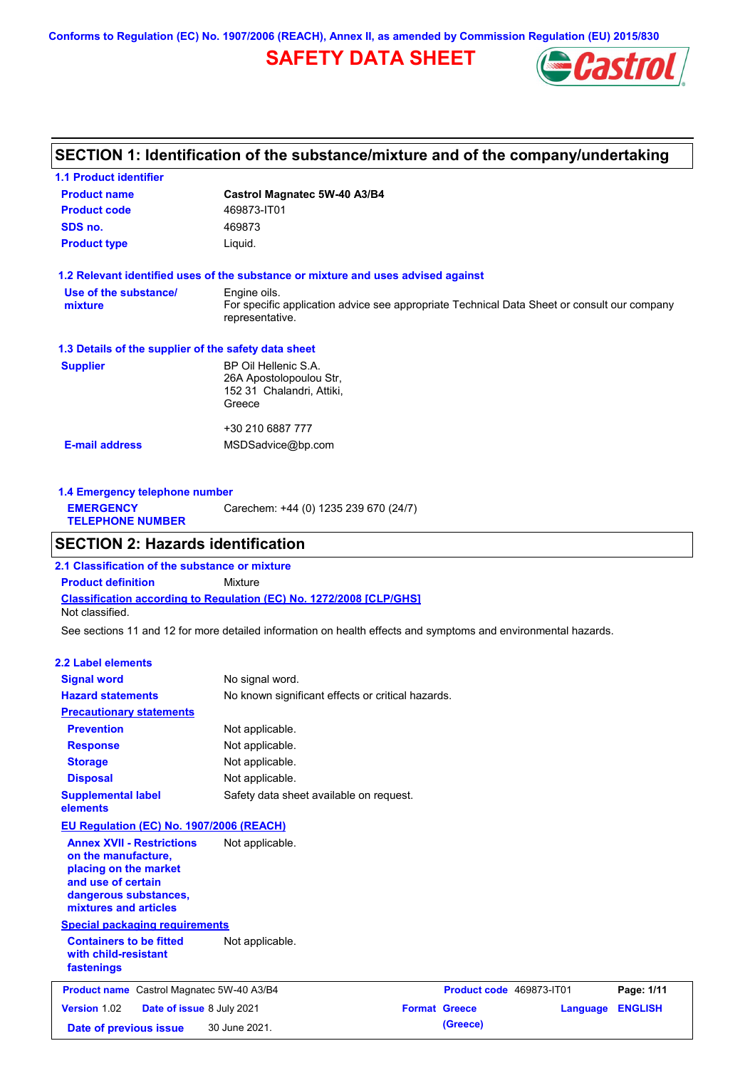**Conforms to Regulation (EC) No. 1907/2006 (REACH), Annex II, as amended by Commission Regulation (EU) 2015/830**

# **SAFETY DATA SHEET**



## **SECTION 1: Identification of the substance/mixture and of the company/undertaking**

| <b>1.1 Product identifier</b>                        |                                                                                                                |  |  |  |
|------------------------------------------------------|----------------------------------------------------------------------------------------------------------------|--|--|--|
| <b>Product name</b>                                  | Castrol Magnatec 5W-40 A3/B4                                                                                   |  |  |  |
| <b>Product code</b>                                  | 469873-IT01                                                                                                    |  |  |  |
| SDS no.                                              | 469873                                                                                                         |  |  |  |
| <b>Product type</b>                                  | Liquid.                                                                                                        |  |  |  |
|                                                      | 1.2 Relevant identified uses of the substance or mixture and uses advised against                              |  |  |  |
| Use of the substance/                                | Engine oils.                                                                                                   |  |  |  |
| mixture                                              | For specific application advice see appropriate Technical Data Sheet or consult our company<br>representative. |  |  |  |
| 1.3 Details of the supplier of the safety data sheet |                                                                                                                |  |  |  |
| <b>Supplier</b>                                      | BP Oil Hellenic S.A.                                                                                           |  |  |  |
|                                                      | 26A Apostolopoulou Str,                                                                                        |  |  |  |
|                                                      | 152 31 Chalandri, Attiki,                                                                                      |  |  |  |
|                                                      | Greece                                                                                                         |  |  |  |
|                                                      | +30 210 6887 777                                                                                               |  |  |  |
| <b>E-mail address</b>                                | MSDSadvice@bp.com                                                                                              |  |  |  |
|                                                      |                                                                                                                |  |  |  |
|                                                      |                                                                                                                |  |  |  |

| 1.4 Emergency telephone number              |                                       |  |
|---------------------------------------------|---------------------------------------|--|
| <b>EMERGENCY</b><br><b>TELEPHONE NUMBER</b> | Carechem: +44 (0) 1235 239 670 (24/7) |  |

### **SECTION 2: Hazards identification**

**Classification according to Regulation (EC) No. 1272/2008 [CLP/GHS] 2.1 Classification of the substance or mixture Product definition** Mixture Not classified.

See sections 11 and 12 for more detailed information on health effects and symptoms and environmental hazards.

### **2.2 Label elements**

| <b>Signal word</b>                                                                                                                                       | No signal word.                                   |                          |          |                |
|----------------------------------------------------------------------------------------------------------------------------------------------------------|---------------------------------------------------|--------------------------|----------|----------------|
| <b>Hazard statements</b>                                                                                                                                 | No known significant effects or critical hazards. |                          |          |                |
| <b>Precautionary statements</b>                                                                                                                          |                                                   |                          |          |                |
| <b>Prevention</b>                                                                                                                                        | Not applicable.                                   |                          |          |                |
| <b>Response</b>                                                                                                                                          | Not applicable.                                   |                          |          |                |
| <b>Storage</b>                                                                                                                                           | Not applicable.                                   |                          |          |                |
| <b>Disposal</b>                                                                                                                                          | Not applicable.                                   |                          |          |                |
| <b>Supplemental label</b><br>elements                                                                                                                    | Safety data sheet available on request.           |                          |          |                |
| <b>EU Regulation (EC) No. 1907/2006 (REACH)</b>                                                                                                          |                                                   |                          |          |                |
| <b>Annex XVII - Restrictions</b><br>on the manufacture,<br>placing on the market<br>and use of certain<br>dangerous substances,<br>mixtures and articles | Not applicable.                                   |                          |          |                |
| <b>Special packaging requirements</b>                                                                                                                    |                                                   |                          |          |                |
| <b>Containers to be fitted</b><br>with child-resistant<br>fastenings                                                                                     | Not applicable.                                   |                          |          |                |
| Product name Castrol Magnatec 5W-40 A3/B4                                                                                                                |                                                   | Product code 469873-IT01 |          | Page: 1/11     |
| Version 1.02<br>Date of issue 8 July 2021                                                                                                                |                                                   | <b>Format Greece</b>     | Language | <b>ENGLISH</b> |
| Date of previous issue                                                                                                                                   | 30 June 2021.                                     | (Greece)                 |          |                |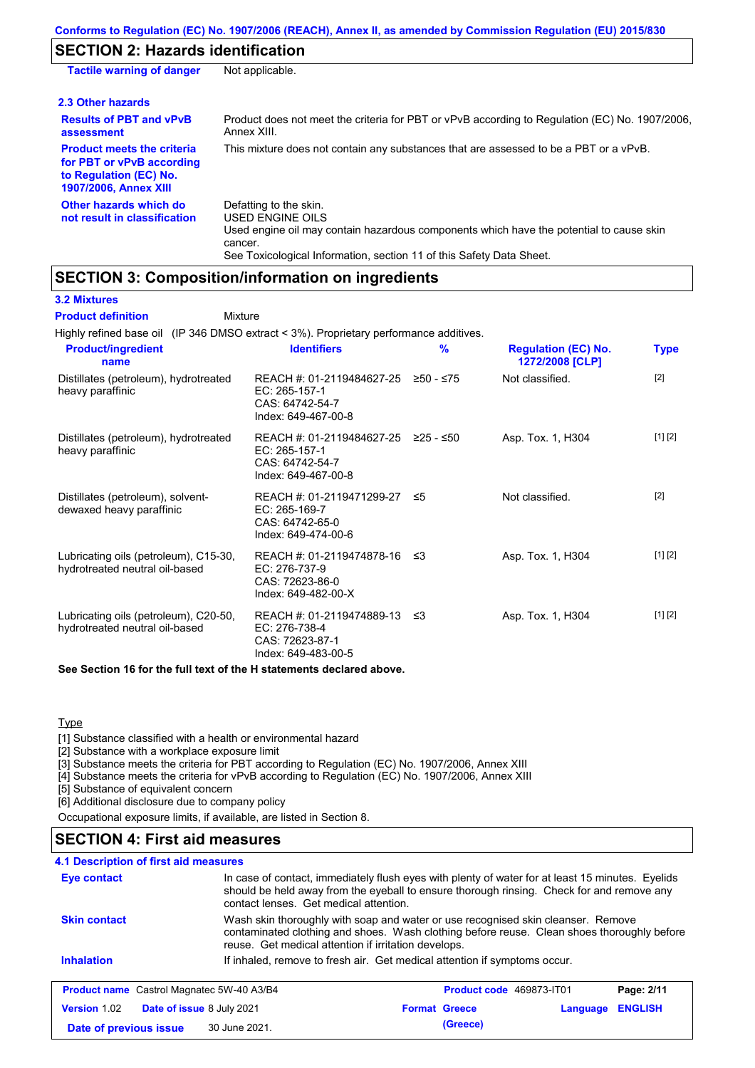# **SECTION 2: Hazards identification**

| <b>Tactile warning of danger</b>                                                                                         | Not applicable.                                                                                                                                                                                                          |
|--------------------------------------------------------------------------------------------------------------------------|--------------------------------------------------------------------------------------------------------------------------------------------------------------------------------------------------------------------------|
| 2.3 Other hazards                                                                                                        |                                                                                                                                                                                                                          |
| <b>Results of PBT and vPvB</b><br>assessment                                                                             | Product does not meet the criteria for PBT or vPvB according to Regulation (EC) No. 1907/2006,<br>Annex XIII.                                                                                                            |
| <b>Product meets the criteria</b><br>for PBT or vPvB according<br>to Regulation (EC) No.<br><b>1907/2006, Annex XIII</b> | This mixture does not contain any substances that are assessed to be a PBT or a vPvB.                                                                                                                                    |
| Other hazards which do<br>not result in classification                                                                   | Defatting to the skin.<br>USED ENGINE OILS<br>Used engine oil may contain hazardous components which have the potential to cause skin<br>cancer.<br>See Toxicological Information, section 11 of this Safety Data Sheet. |

## **SECTION 3: Composition/information on ingredients**

**3.2 Mixtures**

| <b>Product definition</b><br>Mixture                                                   |                                                                                        |           |                                               |             |
|----------------------------------------------------------------------------------------|----------------------------------------------------------------------------------------|-----------|-----------------------------------------------|-------------|
| Highly refined base oil (IP 346 DMSO extract < 3%). Proprietary performance additives. |                                                                                        |           |                                               |             |
| <b>Product/ingredient</b><br>name                                                      | <b>Identifiers</b>                                                                     | %         | <b>Regulation (EC) No.</b><br>1272/2008 [CLP] | <b>Type</b> |
| Distillates (petroleum), hydrotreated<br>heavy paraffinic                              | REACH #: 01-2119484627-25<br>$EC: 265-157-1$<br>CAS: 64742-54-7<br>Index: 649-467-00-8 | ≥50 - ≤75 | Not classified.                               | [2]         |
| Distillates (petroleum), hydrotreated<br>heavy paraffinic                              | REACH #: 01-2119484627-25<br>EC: 265-157-1<br>CAS: 64742-54-7<br>Index: 649-467-00-8   | 225 - ≤50 | Asp. Tox. 1, H304                             | [1] [2]     |
| Distillates (petroleum), solvent-<br>dewaxed heavy paraffinic                          | REACH #: 01-2119471299-27<br>EC: 265-169-7<br>CAS: 64742-65-0<br>Index: 649-474-00-6   | ≲5        | Not classified.                               | $[2]$       |
| Lubricating oils (petroleum), C15-30,<br>hydrotreated neutral oil-based                | REACH #: 01-2119474878-16<br>EC: 276-737-9<br>CAS: 72623-86-0<br>Index: 649-482-00-X   | ו≥ ≤      | Asp. Tox. 1, H304                             | [1] [2]     |
| Lubricating oils (petroleum), C20-50,<br>hydrotreated neutral oil-based                | REACH #: 01-2119474889-13<br>EC: 276-738-4<br>CAS: 72623-87-1<br>Index: 649-483-00-5   | -≤3       | Asp. Tox. 1, H304                             | [1] [2]     |
| See Section 16 for the full text of the H statements declared above.                   |                                                                                        |           |                                               |             |

**Type** 

[1] Substance classified with a health or environmental hazard

[2] Substance with a workplace exposure limit

[3] Substance meets the criteria for PBT according to Regulation (EC) No. 1907/2006, Annex XIII

[4] Substance meets the criteria for vPvB according to Regulation (EC) No. 1907/2006, Annex XIII

[5] Substance of equivalent concern

[6] Additional disclosure due to company policy

Occupational exposure limits, if available, are listed in Section 8.

### **SECTION 4: First aid measures**

| <b>4.1 Description of first aid measures</b>     |                           |                                                                                                                                                                                                                                         |          |                |  |  |
|--------------------------------------------------|---------------------------|-----------------------------------------------------------------------------------------------------------------------------------------------------------------------------------------------------------------------------------------|----------|----------------|--|--|
| Eye contact                                      |                           | In case of contact, immediately flush eyes with plenty of water for at least 15 minutes. Eyelids<br>should be held away from the eyeball to ensure thorough rinsing. Check for and remove any<br>contact lenses. Get medical attention. |          |                |  |  |
| <b>Skin contact</b>                              |                           | Wash skin thoroughly with soap and water or use recognised skin cleanser. Remove<br>contaminated clothing and shoes. Wash clothing before reuse. Clean shoes thoroughly before<br>reuse. Get medical attention if irritation develops.  |          |                |  |  |
| <b>Inhalation</b>                                |                           | If inhaled, remove to fresh air. Get medical attention if symptoms occur.                                                                                                                                                               |          |                |  |  |
| <b>Product name</b> Castrol Magnatec 5W-40 A3/B4 |                           | Product code 469873-IT01                                                                                                                                                                                                                |          | Page: 2/11     |  |  |
| <b>Version 1.02</b>                              | Date of issue 8 July 2021 | <b>Format Greece</b>                                                                                                                                                                                                                    | Language | <b>ENGLISH</b> |  |  |
| Date of previous issue                           | 30 June 2021.             | (Greece)                                                                                                                                                                                                                                |          |                |  |  |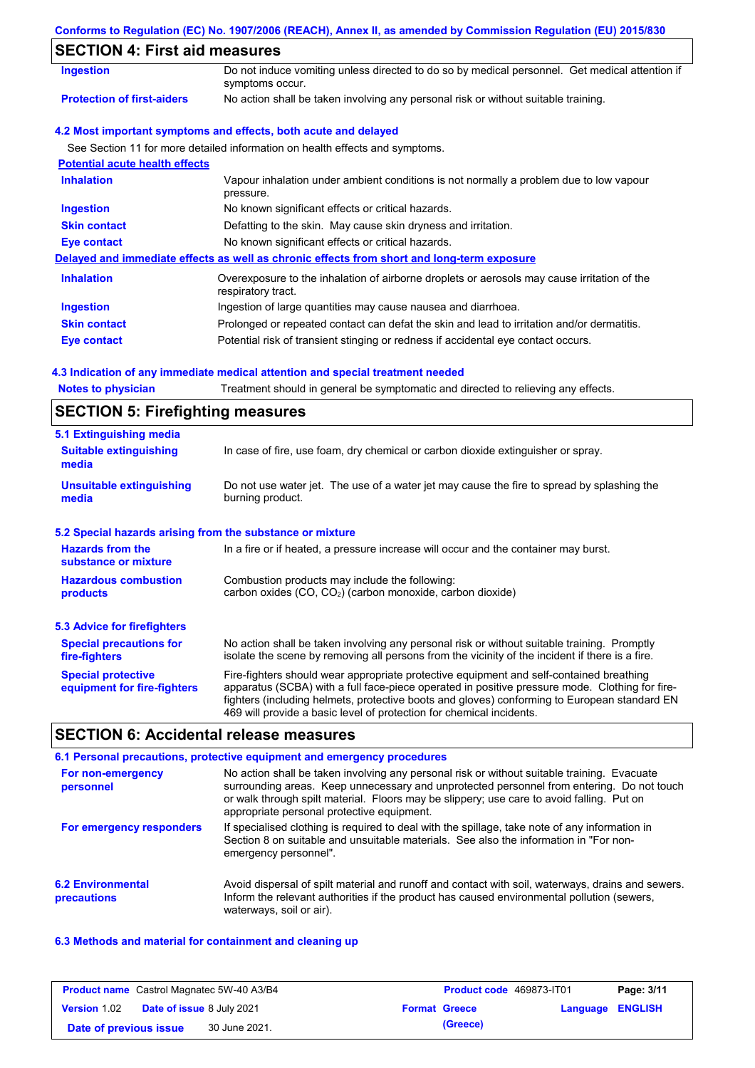### **Conforms to Regulation (EC) No. 1907/2006 (REACH), Annex II, as amended by Commission Regulation (EU) 2015/830**

## **SECTION 4: First aid measures**

| SECTION 4. FISL ald measures          |                                                                                                                   |
|---------------------------------------|-------------------------------------------------------------------------------------------------------------------|
| <b>Ingestion</b>                      | Do not induce vomiting unless directed to do so by medical personnel. Get medical attention if<br>symptoms occur. |
| <b>Protection of first-aiders</b>     | No action shall be taken involving any personal risk or without suitable training.                                |
|                                       | 4.2 Most important symptoms and effects, both acute and delayed                                                   |
|                                       | See Section 11 for more detailed information on health effects and symptoms.                                      |
| <b>Potential acute health effects</b> |                                                                                                                   |
| <b>Inhalation</b>                     | Vapour inhalation under ambient conditions is not normally a problem due to low vapour<br>pressure.               |
| <b>Ingestion</b>                      | No known significant effects or critical hazards.                                                                 |
| <b>Skin contact</b>                   | Defatting to the skin. May cause skin dryness and irritation.                                                     |
| Eye contact                           | No known significant effects or critical hazards.                                                                 |
|                                       | Delayed and immediate effects as well as chronic effects from short and long-term exposure                        |
| <b>Inhalation</b>                     | Overexposure to the inhalation of airborne droplets or aerosols may cause irritation of the<br>respiratory tract. |
| <b>Ingestion</b>                      | Ingestion of large quantities may cause nausea and diarrhoea.                                                     |
| <b>Skin contact</b>                   | Prolonged or repeated contact can defat the skin and lead to irritation and/or dermatitis.                        |
| Eye contact                           | Potential risk of transient stinging or redness if accidental eye contact occurs.                                 |

### **4.3 Indication of any immediate medical attention and special treatment needed**

| <b>Notes to physician</b> |  | Treatment should in general be symptomatic and directed to relieving any effects. |  |  |  |  |
|---------------------------|--|-----------------------------------------------------------------------------------|--|--|--|--|
|---------------------------|--|-----------------------------------------------------------------------------------|--|--|--|--|

## **SECTION 5: Firefighting measures**

| 5.1 Extinguishing media                                                                                                                                             |                                                                                                                                                                                                                                                                                                                                                                   |  |
|---------------------------------------------------------------------------------------------------------------------------------------------------------------------|-------------------------------------------------------------------------------------------------------------------------------------------------------------------------------------------------------------------------------------------------------------------------------------------------------------------------------------------------------------------|--|
| <b>Suitable extinguishing</b><br>media                                                                                                                              | In case of fire, use foam, dry chemical or carbon dioxide extinguisher or spray.                                                                                                                                                                                                                                                                                  |  |
| <b>Unsuitable extinguishing</b><br>Do not use water jet. The use of a water jet may cause the fire to spread by splashing the<br>burning product.<br>media          |                                                                                                                                                                                                                                                                                                                                                                   |  |
| 5.2 Special hazards arising from the substance or mixture                                                                                                           |                                                                                                                                                                                                                                                                                                                                                                   |  |
| <b>Hazards from the</b><br>substance or mixture                                                                                                                     | In a fire or if heated, a pressure increase will occur and the container may burst.                                                                                                                                                                                                                                                                               |  |
| <b>Hazardous combustion</b><br>Combustion products may include the following:<br>carbon oxides (CO, CO <sub>2</sub> ) (carbon monoxide, carbon dioxide)<br>products |                                                                                                                                                                                                                                                                                                                                                                   |  |
| 5.3 Advice for firefighters                                                                                                                                         |                                                                                                                                                                                                                                                                                                                                                                   |  |
| <b>Special precautions for</b><br>fire-fighters                                                                                                                     | No action shall be taken involving any personal risk or without suitable training. Promptly<br>isolate the scene by removing all persons from the vicinity of the incident if there is a fire.                                                                                                                                                                    |  |
| <b>Special protective</b><br>equipment for fire-fighters                                                                                                            | Fire-fighters should wear appropriate protective equipment and self-contained breathing<br>apparatus (SCBA) with a full face-piece operated in positive pressure mode. Clothing for fire-<br>fighters (including helmets, protective boots and gloves) conforming to European standard EN<br>469 will provide a basic level of protection for chemical incidents. |  |

### **SECTION 6: Accidental release measures**

#### **6.2 Environmental precautions** Avoid dispersal of spilt material and runoff and contact with soil, waterways, drains and sewers. Inform the relevant authorities if the product has caused environmental pollution (sewers, waterways, soil or air). **6.1 Personal precautions, protective equipment and emergency procedures For non-emergency personnel For emergency responders** No action shall be taken involving any personal risk or without suitable training. Evacuate surrounding areas. Keep unnecessary and unprotected personnel from entering. Do not touch or walk through spilt material. Floors may be slippery; use care to avoid falling. Put on appropriate personal protective equipment. If specialised clothing is required to deal with the spillage, take note of any information in Section 8 on suitable and unsuitable materials. See also the information in "For nonemergency personnel".

### **6.3 Methods and material for containment and cleaning up**

| <b>Product name</b> Castrol Magnatec 5W-40 A3/B4 |  | Product code 469873-IT01 |                      | Page: 3/11       |  |
|--------------------------------------------------|--|--------------------------|----------------------|------------------|--|
| <b>Version 1.02 Date of issue 8 July 2021</b>    |  |                          | <b>Format Greece</b> | Language ENGLISH |  |
| Date of previous issue                           |  | 30 June 2021.            | (Greece)             |                  |  |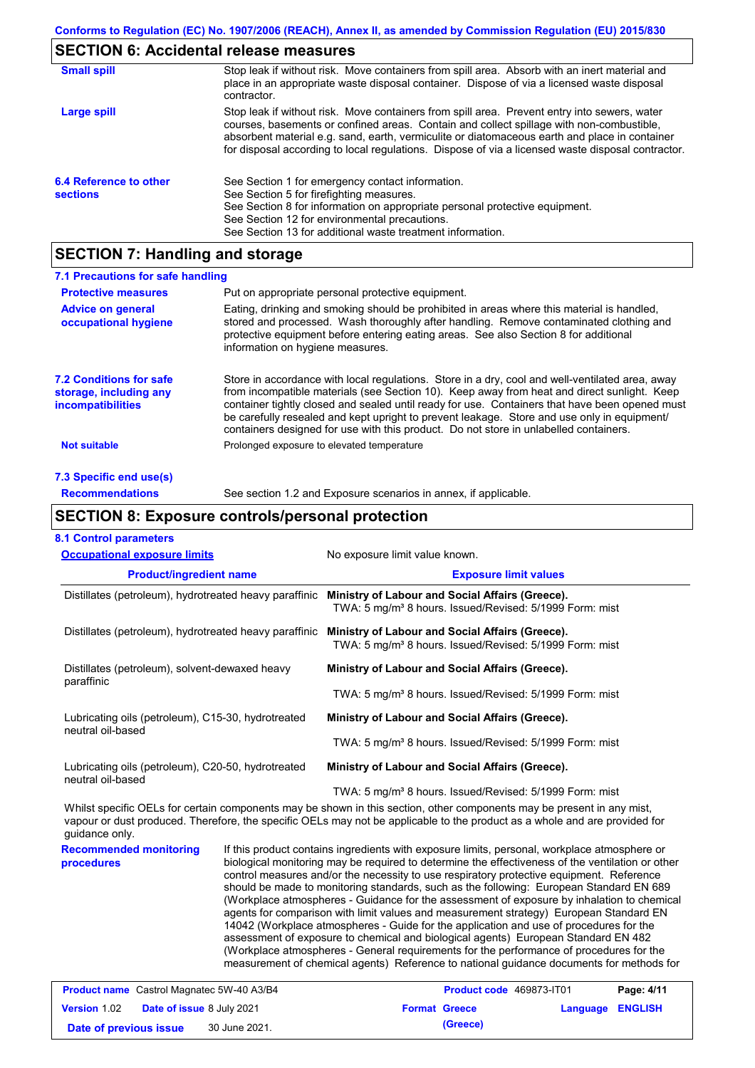# **SECTION 6: Accidental release measures**

| <b>Small spill</b>                        | Stop leak if without risk. Move containers from spill area. Absorb with an inert material and<br>place in an appropriate waste disposal container. Dispose of via a licensed waste disposal<br>contractor.                                                                                                                                                                                     |
|-------------------------------------------|------------------------------------------------------------------------------------------------------------------------------------------------------------------------------------------------------------------------------------------------------------------------------------------------------------------------------------------------------------------------------------------------|
| Large spill                               | Stop leak if without risk. Move containers from spill area. Prevent entry into sewers, water<br>courses, basements or confined areas. Contain and collect spillage with non-combustible,<br>absorbent material e.g. sand, earth, vermiculite or diatomaceous earth and place in container<br>for disposal according to local regulations. Dispose of via a licensed waste disposal contractor. |
| 6.4 Reference to other<br><b>sections</b> | See Section 1 for emergency contact information.<br>See Section 5 for firefighting measures.<br>See Section 8 for information on appropriate personal protective equipment.<br>See Section 12 for environmental precautions.<br>See Section 13 for additional waste treatment information.                                                                                                     |

# **SECTION 7: Handling and storage**

| 7.1 Precautions for safe handling                                                    |                                                                                                                                                                                                                                                                                                                                                                                                                                                                                          |
|--------------------------------------------------------------------------------------|------------------------------------------------------------------------------------------------------------------------------------------------------------------------------------------------------------------------------------------------------------------------------------------------------------------------------------------------------------------------------------------------------------------------------------------------------------------------------------------|
| <b>Protective measures</b>                                                           | Put on appropriate personal protective equipment.                                                                                                                                                                                                                                                                                                                                                                                                                                        |
| <b>Advice on general</b><br>occupational hygiene                                     | Eating, drinking and smoking should be prohibited in areas where this material is handled.<br>stored and processed. Wash thoroughly after handling. Remove contaminated clothing and<br>protective equipment before entering eating areas. See also Section 8 for additional<br>information on hygiene measures.                                                                                                                                                                         |
| <b>7.2 Conditions for safe</b><br>storage, including any<br><i>incompatibilities</i> | Store in accordance with local requiations. Store in a dry, cool and well-ventilated area, away<br>from incompatible materials (see Section 10). Keep away from heat and direct sunlight. Keep<br>container tightly closed and sealed until ready for use. Containers that have been opened must<br>be carefully resealed and kept upright to prevent leakage. Store and use only in equipment/<br>containers designed for use with this product. Do not store in unlabelled containers. |
| Not suitable                                                                         | Prolonged exposure to elevated temperature                                                                                                                                                                                                                                                                                                                                                                                                                                               |
| 7.3 Specific end use(s)                                                              |                                                                                                                                                                                                                                                                                                                                                                                                                                                                                          |
| <b>Recommendations</b>                                                               | See section 1.2 and Exposure scenarios in annex, if applicable.                                                                                                                                                                                                                                                                                                                                                                                                                          |

## **SECTION 8: Exposure controls/personal protection**

|  | <b>8.1 Control parameters</b> |  |
|--|-------------------------------|--|
|--|-------------------------------|--|

| <b>Occupational exposure limits</b>                                     |                                                                                                                                                                                                                                                                                                                                                                                                                                                                                                                                                                                                                                                                                                                                                                                                                                                                                                                                                        | No exposure limit value known.                                                                                                                                                                                                                       |  |  |  |
|-------------------------------------------------------------------------|--------------------------------------------------------------------------------------------------------------------------------------------------------------------------------------------------------------------------------------------------------------------------------------------------------------------------------------------------------------------------------------------------------------------------------------------------------------------------------------------------------------------------------------------------------------------------------------------------------------------------------------------------------------------------------------------------------------------------------------------------------------------------------------------------------------------------------------------------------------------------------------------------------------------------------------------------------|------------------------------------------------------------------------------------------------------------------------------------------------------------------------------------------------------------------------------------------------------|--|--|--|
| <b>Product/ingredient name</b>                                          |                                                                                                                                                                                                                                                                                                                                                                                                                                                                                                                                                                                                                                                                                                                                                                                                                                                                                                                                                        | <b>Exposure limit values</b>                                                                                                                                                                                                                         |  |  |  |
| Distillates (petroleum), hydrotreated heavy paraffinic                  |                                                                                                                                                                                                                                                                                                                                                                                                                                                                                                                                                                                                                                                                                                                                                                                                                                                                                                                                                        | Ministry of Labour and Social Affairs (Greece).<br>TWA: 5 mg/m <sup>3</sup> 8 hours. Issued/Revised: 5/1999 Form: mist                                                                                                                               |  |  |  |
| Distillates (petroleum), hydrotreated heavy paraffinic                  |                                                                                                                                                                                                                                                                                                                                                                                                                                                                                                                                                                                                                                                                                                                                                                                                                                                                                                                                                        | Ministry of Labour and Social Affairs (Greece).<br>TWA: 5 mg/m <sup>3</sup> 8 hours. Issued/Revised: 5/1999 Form: mist                                                                                                                               |  |  |  |
| Distillates (petroleum), solvent-dewaxed heavy<br>paraffinic            |                                                                                                                                                                                                                                                                                                                                                                                                                                                                                                                                                                                                                                                                                                                                                                                                                                                                                                                                                        | Ministry of Labour and Social Affairs (Greece).                                                                                                                                                                                                      |  |  |  |
|                                                                         |                                                                                                                                                                                                                                                                                                                                                                                                                                                                                                                                                                                                                                                                                                                                                                                                                                                                                                                                                        | TWA: 5 mg/m <sup>3</sup> 8 hours. Issued/Revised: 5/1999 Form: mist                                                                                                                                                                                  |  |  |  |
| Lubricating oils (petroleum), C15-30, hydrotreated<br>neutral oil-based |                                                                                                                                                                                                                                                                                                                                                                                                                                                                                                                                                                                                                                                                                                                                                                                                                                                                                                                                                        | Ministry of Labour and Social Affairs (Greece).                                                                                                                                                                                                      |  |  |  |
|                                                                         |                                                                                                                                                                                                                                                                                                                                                                                                                                                                                                                                                                                                                                                                                                                                                                                                                                                                                                                                                        | TWA: 5 mg/m <sup>3</sup> 8 hours. Issued/Revised: 5/1999 Form: mist                                                                                                                                                                                  |  |  |  |
| Lubricating oils (petroleum), C20-50, hydrotreated<br>neutral oil-based |                                                                                                                                                                                                                                                                                                                                                                                                                                                                                                                                                                                                                                                                                                                                                                                                                                                                                                                                                        | Ministry of Labour and Social Affairs (Greece).                                                                                                                                                                                                      |  |  |  |
|                                                                         |                                                                                                                                                                                                                                                                                                                                                                                                                                                                                                                                                                                                                                                                                                                                                                                                                                                                                                                                                        | TWA: 5 mg/m <sup>3</sup> 8 hours. Issued/Revised: 5/1999 Form: mist                                                                                                                                                                                  |  |  |  |
| guidance only.                                                          |                                                                                                                                                                                                                                                                                                                                                                                                                                                                                                                                                                                                                                                                                                                                                                                                                                                                                                                                                        | Whilst specific OELs for certain components may be shown in this section, other components may be present in any mist,<br>vapour or dust produced. Therefore, the specific OELs may not be applicable to the product as a whole and are provided for |  |  |  |
| <b>Recommended monitoring</b><br>procedures                             | If this product contains ingredients with exposure limits, personal, workplace atmosphere or<br>biological monitoring may be required to determine the effectiveness of the ventilation or other<br>control measures and/or the necessity to use respiratory protective equipment. Reference<br>should be made to monitoring standards, such as the following: European Standard EN 689<br>(Workplace atmospheres - Guidance for the assessment of exposure by inhalation to chemical<br>agents for comparison with limit values and measurement strategy) European Standard EN<br>14042 (Workplace atmospheres - Guide for the application and use of procedures for the<br>assessment of exposure to chemical and biological agents) European Standard EN 482<br>(Workplace atmospheres - General requirements for the performance of procedures for the<br>measurement of chemical agents) Reference to national guidance documents for methods for |                                                                                                                                                                                                                                                      |  |  |  |
| Product name Castrol Magnatec 5W-40 A3/B4                               |                                                                                                                                                                                                                                                                                                                                                                                                                                                                                                                                                                                                                                                                                                                                                                                                                                                                                                                                                        | Product code 469873-IT01<br>Page: 4/11                                                                                                                                                                                                               |  |  |  |

| <b>Version 1.02</b>    | <b>Date of issue 8 July 2021</b> | <b>Format Greece</b> | <b>Language ENGLISH</b> |  |
|------------------------|----------------------------------|----------------------|-------------------------|--|
| Date of previous issue | 30 June 2021.                    | (Greece)             |                         |  |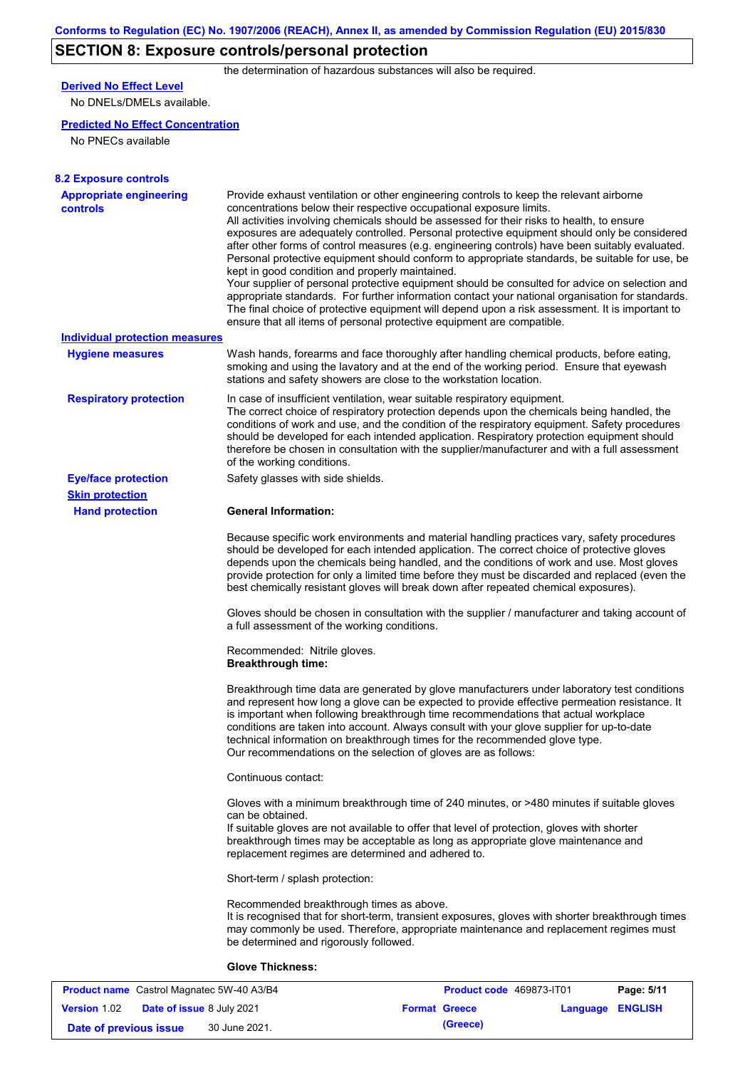# **SECTION 8: Exposure controls/personal protection**

the determination of hazardous substances will also be required.

## **Derived No Effect Level**

No DNELs/DMELs available.

### **Predicted No Effect Concentration**

No PNECs available

| <b>8.2 Exposure controls</b>                      |                                                                                                                                                                                                                                                                                                                                                                                                                                                                                                                                                                                                                                                                                                                                                                                                                                                                                                                                                                                                         |
|---------------------------------------------------|---------------------------------------------------------------------------------------------------------------------------------------------------------------------------------------------------------------------------------------------------------------------------------------------------------------------------------------------------------------------------------------------------------------------------------------------------------------------------------------------------------------------------------------------------------------------------------------------------------------------------------------------------------------------------------------------------------------------------------------------------------------------------------------------------------------------------------------------------------------------------------------------------------------------------------------------------------------------------------------------------------|
| <b>Appropriate engineering</b><br><b>controls</b> | Provide exhaust ventilation or other engineering controls to keep the relevant airborne<br>concentrations below their respective occupational exposure limits.<br>All activities involving chemicals should be assessed for their risks to health, to ensure<br>exposures are adequately controlled. Personal protective equipment should only be considered<br>after other forms of control measures (e.g. engineering controls) have been suitably evaluated.<br>Personal protective equipment should conform to appropriate standards, be suitable for use, be<br>kept in good condition and properly maintained.<br>Your supplier of personal protective equipment should be consulted for advice on selection and<br>appropriate standards. For further information contact your national organisation for standards.<br>The final choice of protective equipment will depend upon a risk assessment. It is important to<br>ensure that all items of personal protective equipment are compatible. |
| <b>Individual protection measures</b>             |                                                                                                                                                                                                                                                                                                                                                                                                                                                                                                                                                                                                                                                                                                                                                                                                                                                                                                                                                                                                         |
| <b>Hygiene measures</b>                           | Wash hands, forearms and face thoroughly after handling chemical products, before eating,<br>smoking and using the lavatory and at the end of the working period. Ensure that eyewash<br>stations and safety showers are close to the workstation location.                                                                                                                                                                                                                                                                                                                                                                                                                                                                                                                                                                                                                                                                                                                                             |
| <b>Respiratory protection</b>                     | In case of insufficient ventilation, wear suitable respiratory equipment.<br>The correct choice of respiratory protection depends upon the chemicals being handled, the<br>conditions of work and use, and the condition of the respiratory equipment. Safety procedures<br>should be developed for each intended application. Respiratory protection equipment should<br>therefore be chosen in consultation with the supplier/manufacturer and with a full assessment<br>of the working conditions.                                                                                                                                                                                                                                                                                                                                                                                                                                                                                                   |
| <b>Eye/face protection</b>                        | Safety glasses with side shields.                                                                                                                                                                                                                                                                                                                                                                                                                                                                                                                                                                                                                                                                                                                                                                                                                                                                                                                                                                       |
| <b>Skin protection</b>                            |                                                                                                                                                                                                                                                                                                                                                                                                                                                                                                                                                                                                                                                                                                                                                                                                                                                                                                                                                                                                         |
| <b>Hand protection</b>                            | <b>General Information:</b>                                                                                                                                                                                                                                                                                                                                                                                                                                                                                                                                                                                                                                                                                                                                                                                                                                                                                                                                                                             |
|                                                   | Because specific work environments and material handling practices vary, safety procedures<br>should be developed for each intended application. The correct choice of protective gloves<br>depends upon the chemicals being handled, and the conditions of work and use. Most gloves<br>provide protection for only a limited time before they must be discarded and replaced (even the<br>best chemically resistant gloves will break down after repeated chemical exposures).                                                                                                                                                                                                                                                                                                                                                                                                                                                                                                                        |
|                                                   | Gloves should be chosen in consultation with the supplier / manufacturer and taking account of<br>a full assessment of the working conditions.                                                                                                                                                                                                                                                                                                                                                                                                                                                                                                                                                                                                                                                                                                                                                                                                                                                          |
|                                                   | Recommended: Nitrile gloves.<br><b>Breakthrough time:</b>                                                                                                                                                                                                                                                                                                                                                                                                                                                                                                                                                                                                                                                                                                                                                                                                                                                                                                                                               |
|                                                   | Breakthrough time data are generated by glove manufacturers under laboratory test conditions<br>and represent how long a glove can be expected to provide effective permeation resistance. It<br>is important when following breakthrough time recommendations that actual workplace<br>conditions are taken into account. Always consult with your glove supplier for up-to-date<br>technical information on breakthrough times for the recommended glove type.<br>Our recommendations on the selection of gloves are as follows:                                                                                                                                                                                                                                                                                                                                                                                                                                                                      |
|                                                   | Continuous contact:                                                                                                                                                                                                                                                                                                                                                                                                                                                                                                                                                                                                                                                                                                                                                                                                                                                                                                                                                                                     |
|                                                   | Gloves with a minimum breakthrough time of 240 minutes, or >480 minutes if suitable gloves<br>can be obtained.<br>If suitable gloves are not available to offer that level of protection, gloves with shorter<br>breakthrough times may be acceptable as long as appropriate glove maintenance and<br>replacement regimes are determined and adhered to.                                                                                                                                                                                                                                                                                                                                                                                                                                                                                                                                                                                                                                                |
|                                                   | Short-term / splash protection:                                                                                                                                                                                                                                                                                                                                                                                                                                                                                                                                                                                                                                                                                                                                                                                                                                                                                                                                                                         |
|                                                   | Recommended breakthrough times as above.<br>It is recognised that for short-term, transient exposures, gloves with shorter breakthrough times<br>may commonly be used. Therefore, appropriate maintenance and replacement regimes must<br>be determined and rigorously followed.                                                                                                                                                                                                                                                                                                                                                                                                                                                                                                                                                                                                                                                                                                                        |
|                                                   | <b>Glove Thickness:</b>                                                                                                                                                                                                                                                                                                                                                                                                                                                                                                                                                                                                                                                                                                                                                                                                                                                                                                                                                                                 |

| <b>Product name</b> Castrol Magnatec 5W-40 A3/B4 |                                  |  | Product code 469873-IT01 | Page: 5/11              |  |
|--------------------------------------------------|----------------------------------|--|--------------------------|-------------------------|--|
| <b>Version 1.02</b>                              | <b>Date of issue 8 July 2021</b> |  | <b>Format Greece</b>     | <b>Language ENGLISH</b> |  |
| Date of previous issue                           | 30 June 2021.                    |  | (Greece)                 |                         |  |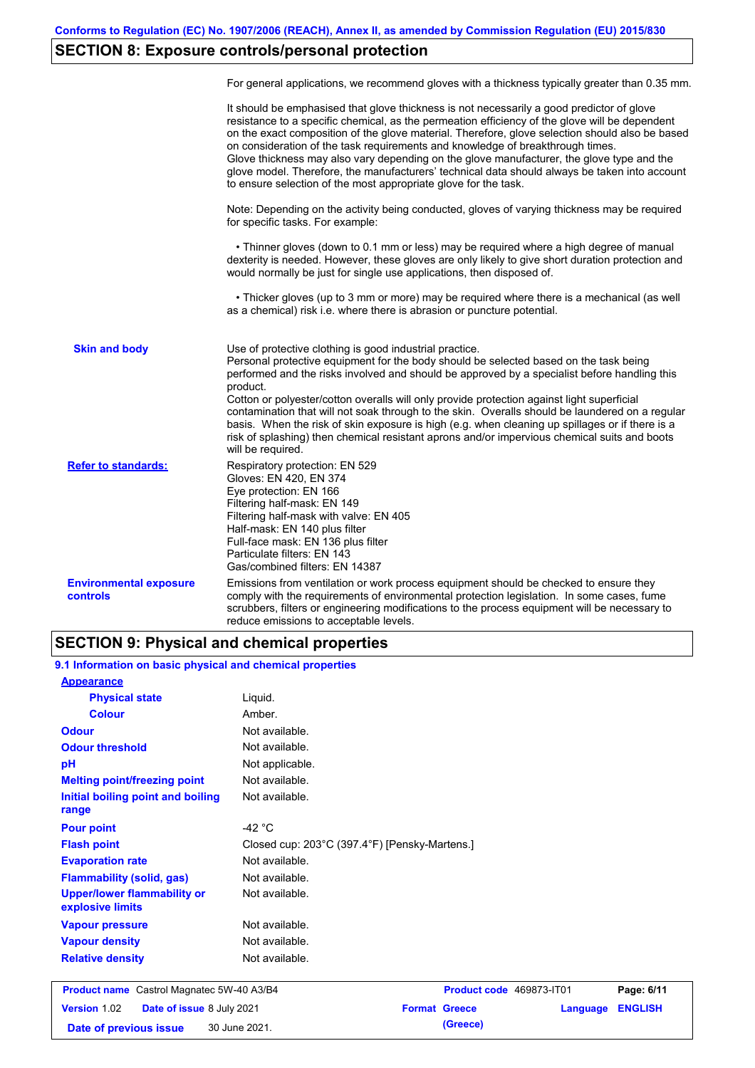# **SECTION 8: Exposure controls/personal protection**

|                                                  | For general applications, we recommend gloves with a thickness typically greater than 0.35 mm.                                                                                                                                                                                                                                                                                                                                                                                                                                                                                                                                                                                        |
|--------------------------------------------------|---------------------------------------------------------------------------------------------------------------------------------------------------------------------------------------------------------------------------------------------------------------------------------------------------------------------------------------------------------------------------------------------------------------------------------------------------------------------------------------------------------------------------------------------------------------------------------------------------------------------------------------------------------------------------------------|
|                                                  | It should be emphasised that glove thickness is not necessarily a good predictor of glove<br>resistance to a specific chemical, as the permeation efficiency of the glove will be dependent<br>on the exact composition of the glove material. Therefore, glove selection should also be based<br>on consideration of the task requirements and knowledge of breakthrough times.<br>Glove thickness may also vary depending on the glove manufacturer, the glove type and the<br>glove model. Therefore, the manufacturers' technical data should always be taken into account<br>to ensure selection of the most appropriate glove for the task.                                     |
|                                                  | Note: Depending on the activity being conducted, gloves of varying thickness may be required<br>for specific tasks. For example:                                                                                                                                                                                                                                                                                                                                                                                                                                                                                                                                                      |
|                                                  | • Thinner gloves (down to 0.1 mm or less) may be required where a high degree of manual<br>dexterity is needed. However, these gloves are only likely to give short duration protection and<br>would normally be just for single use applications, then disposed of.                                                                                                                                                                                                                                                                                                                                                                                                                  |
|                                                  | • Thicker gloves (up to 3 mm or more) may be required where there is a mechanical (as well<br>as a chemical) risk i.e. where there is abrasion or puncture potential.                                                                                                                                                                                                                                                                                                                                                                                                                                                                                                                 |
| <b>Skin and body</b>                             | Use of protective clothing is good industrial practice.<br>Personal protective equipment for the body should be selected based on the task being<br>performed and the risks involved and should be approved by a specialist before handling this<br>product.<br>Cotton or polyester/cotton overalls will only provide protection against light superficial<br>contamination that will not soak through to the skin. Overalls should be laundered on a regular<br>basis. When the risk of skin exposure is high (e.g. when cleaning up spillages or if there is a<br>risk of splashing) then chemical resistant aprons and/or impervious chemical suits and boots<br>will be required. |
| <b>Refer to standards:</b>                       | Respiratory protection: EN 529<br>Gloves: EN 420, EN 374<br>Eye protection: EN 166<br>Filtering half-mask: EN 149<br>Filtering half-mask with valve: EN 405<br>Half-mask: EN 140 plus filter<br>Full-face mask: EN 136 plus filter<br>Particulate filters: EN 143<br>Gas/combined filters: EN 14387                                                                                                                                                                                                                                                                                                                                                                                   |
| <b>Environmental exposure</b><br><b>controls</b> | Emissions from ventilation or work process equipment should be checked to ensure they<br>comply with the requirements of environmental protection legislation. In some cases, fume<br>scrubbers, filters or engineering modifications to the process equipment will be necessary to<br>reduce emissions to acceptable levels.                                                                                                                                                                                                                                                                                                                                                         |

## **SECTION 9: Physical and chemical properties**

**9.1 Information on basic physical and chemical properties**

| <b>Appearance</b>                                      |                                               |                                  |                |
|--------------------------------------------------------|-----------------------------------------------|----------------------------------|----------------|
| <b>Physical state</b>                                  | Liquid.                                       |                                  |                |
| <b>Colour</b>                                          | Amber.                                        |                                  |                |
| <b>Odour</b>                                           | Not available.                                |                                  |                |
| <b>Odour threshold</b>                                 | Not available.                                |                                  |                |
| pH                                                     | Not applicable.                               |                                  |                |
| <b>Melting point/freezing point</b>                    | Not available.                                |                                  |                |
| Initial boiling point and boiling<br>range             | Not available.                                |                                  |                |
| <b>Pour point</b>                                      | -42 $\degree$ C                               |                                  |                |
| <b>Flash point</b>                                     | Closed cup: 203°C (397.4°F) [Pensky-Martens.] |                                  |                |
| <b>Evaporation rate</b>                                | Not available.                                |                                  |                |
| <b>Flammability (solid, gas)</b>                       | Not available.                                |                                  |                |
| <b>Upper/lower flammability or</b><br>explosive limits | Not available.                                |                                  |                |
| <b>Vapour pressure</b>                                 | Not available.                                |                                  |                |
| <b>Vapour density</b>                                  | Not available.                                |                                  |                |
| <b>Relative density</b>                                | Not available.                                |                                  |                |
| <b>Product name</b> Castrol Magnatec 5W-40 A3/B4       |                                               | Product code 469873-IT01         | Page: 6/11     |
| Version 1.02<br>Date of issue 8 July 2021              |                                               | <b>Format Greece</b><br>Language | <b>ENGLISH</b> |
| Date of previous issue                                 | 30 June 2021.                                 | (Greece)                         |                |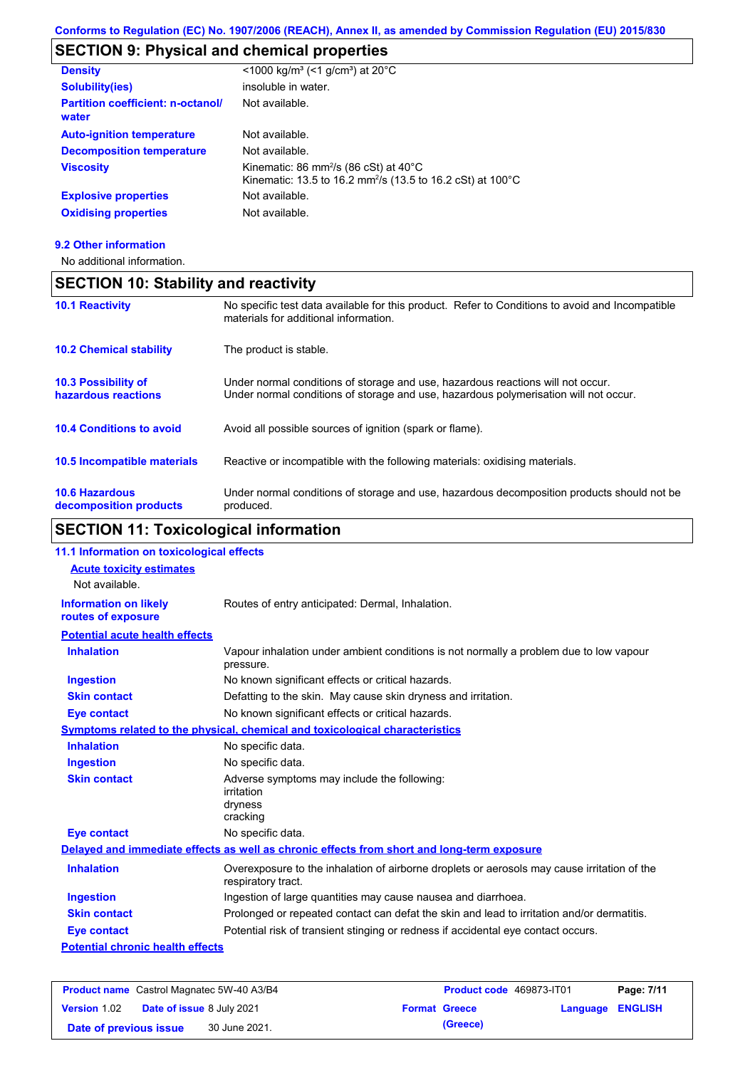# **SECTION 9: Physical and chemical properties**

| <b>Density</b>                                    | <1000 kg/m <sup>3</sup> (<1 g/cm <sup>3</sup> ) at 20 <sup>°</sup> C                                                                   |
|---------------------------------------------------|----------------------------------------------------------------------------------------------------------------------------------------|
| <b>Solubility(ies)</b>                            | insoluble in water.                                                                                                                    |
| <b>Partition coefficient: n-octanol/</b><br>water | Not available.                                                                                                                         |
| <b>Auto-ignition temperature</b>                  | Not available.                                                                                                                         |
| <b>Decomposition temperature</b>                  | Not available.                                                                                                                         |
| <b>Viscosity</b>                                  | Kinematic: 86 mm <sup>2</sup> /s (86 cSt) at $40^{\circ}$ C<br>Kinematic: 13.5 to 16.2 mm <sup>2</sup> /s (13.5 to 16.2 cSt) at 100 °C |
| <b>Explosive properties</b>                       | Not available.                                                                                                                         |
| <b>Oxidising properties</b>                       | Not available.                                                                                                                         |
|                                                   |                                                                                                                                        |

### **9.2 Other information**

No additional information.

| <b>SECTION 10: Stability and reactivity</b>       |                                                                                                                                                                         |
|---------------------------------------------------|-------------------------------------------------------------------------------------------------------------------------------------------------------------------------|
| <b>10.1 Reactivity</b>                            | No specific test data available for this product. Refer to Conditions to avoid and Incompatible<br>materials for additional information.                                |
| <b>10.2 Chemical stability</b>                    | The product is stable.                                                                                                                                                  |
| <b>10.3 Possibility of</b><br>hazardous reactions | Under normal conditions of storage and use, hazardous reactions will not occur.<br>Under normal conditions of storage and use, hazardous polymerisation will not occur. |
| <b>10.4 Conditions to avoid</b>                   | Avoid all possible sources of ignition (spark or flame).                                                                                                                |
| <b>10.5 Incompatible materials</b>                | Reactive or incompatible with the following materials: oxidising materials.                                                                                             |
| <b>10.6 Hazardous</b><br>decomposition products   | Under normal conditions of storage and use, hazardous decomposition products should not be<br>produced.                                                                 |

# **SECTION 11: Toxicological information**

| 11.1 Information on toxicological effects                                    |                                                                                                                   |  |  |
|------------------------------------------------------------------------------|-------------------------------------------------------------------------------------------------------------------|--|--|
| <b>Acute toxicity estimates</b>                                              |                                                                                                                   |  |  |
| Not available.                                                               |                                                                                                                   |  |  |
| <b>Information on likely</b>                                                 | Routes of entry anticipated: Dermal, Inhalation.                                                                  |  |  |
| routes of exposure                                                           |                                                                                                                   |  |  |
| <b>Potential acute health effects</b>                                        |                                                                                                                   |  |  |
| <b>Inhalation</b>                                                            | Vapour inhalation under ambient conditions is not normally a problem due to low vapour<br>pressure.               |  |  |
| <b>Ingestion</b>                                                             | No known significant effects or critical hazards.                                                                 |  |  |
| <b>Skin contact</b>                                                          | Defatting to the skin. May cause skin dryness and irritation.                                                     |  |  |
| <b>Eye contact</b>                                                           | No known significant effects or critical hazards.                                                                 |  |  |
| Symptoms related to the physical, chemical and toxicological characteristics |                                                                                                                   |  |  |
| <b>Inhalation</b>                                                            | No specific data.                                                                                                 |  |  |
| <b>Ingestion</b>                                                             | No specific data.                                                                                                 |  |  |
| <b>Skin contact</b>                                                          | Adverse symptoms may include the following:                                                                       |  |  |
|                                                                              | irritation                                                                                                        |  |  |
|                                                                              | dryness<br>cracking                                                                                               |  |  |
| <b>Eye contact</b>                                                           | No specific data.                                                                                                 |  |  |
|                                                                              | Delayed and immediate effects as well as chronic effects from short and long-term exposure                        |  |  |
| <b>Inhalation</b>                                                            | Overexposure to the inhalation of airborne droplets or aerosols may cause irritation of the<br>respiratory tract. |  |  |
| <b>Ingestion</b>                                                             | Ingestion of large quantities may cause nausea and diarrhoea.                                                     |  |  |
| <b>Skin contact</b>                                                          | Prolonged or repeated contact can defat the skin and lead to irritation and/or dermatitis.                        |  |  |
| <b>Eye contact</b>                                                           | Potential risk of transient stinging or redness if accidental eye contact occurs.                                 |  |  |
| <b>Potential chronic health effects</b>                                      |                                                                                                                   |  |  |
|                                                                              |                                                                                                                   |  |  |

| <b>Product name</b> Castrol Magnatec 5W-40 A3/B4 |                                  |               | Product code 469873-IT01 | Page: 7/11           |                         |  |
|--------------------------------------------------|----------------------------------|---------------|--------------------------|----------------------|-------------------------|--|
| <b>Version 1.02</b>                              | <b>Date of issue 8 July 2021</b> |               |                          | <b>Format Greece</b> | <b>Language ENGLISH</b> |  |
| Date of previous issue                           |                                  | 30 June 2021. |                          | (Greece)             |                         |  |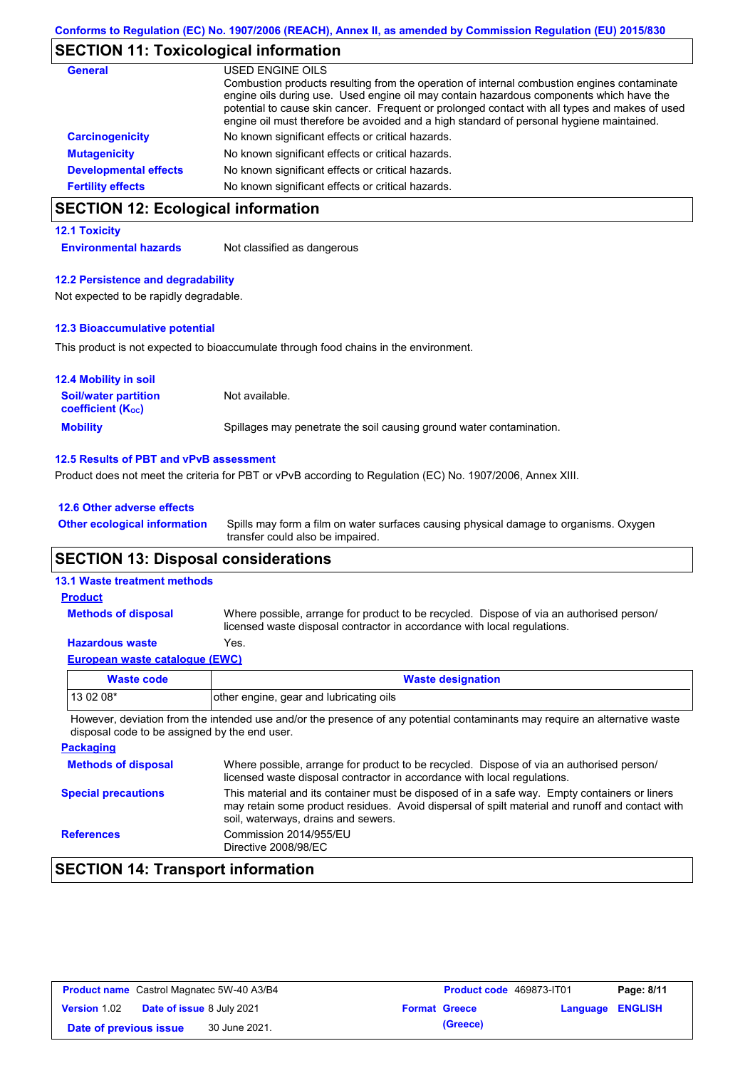# **SECTION 11: Toxicological information**

| General                      | USED ENGINE OILS                                                                                                                                                                                                                                                                                                                                                                     |
|------------------------------|--------------------------------------------------------------------------------------------------------------------------------------------------------------------------------------------------------------------------------------------------------------------------------------------------------------------------------------------------------------------------------------|
|                              | Combustion products resulting from the operation of internal combustion engines contaminate<br>engine oils during use. Used engine oil may contain hazardous components which have the<br>potential to cause skin cancer. Frequent or prolonged contact with all types and makes of used<br>engine oil must therefore be avoided and a high standard of personal hygiene maintained. |
| <b>Carcinogenicity</b>       | No known significant effects or critical hazards.                                                                                                                                                                                                                                                                                                                                    |
| <b>Mutagenicity</b>          | No known significant effects or critical hazards.                                                                                                                                                                                                                                                                                                                                    |
| <b>Developmental effects</b> | No known significant effects or critical hazards.                                                                                                                                                                                                                                                                                                                                    |
| <b>Fertility effects</b>     | No known significant effects or critical hazards.                                                                                                                                                                                                                                                                                                                                    |

## **SECTION 12: Ecological information**

### **12.1 Toxicity**

**Environmental hazards** Not classified as dangerous

### **12.2 Persistence and degradability**

Not expected to be rapidly degradable.

### **12.3 Bioaccumulative potential**

This product is not expected to bioaccumulate through food chains in the environment.

| <b>12.4 Mobility in soil</b>                            |                                                                      |
|---------------------------------------------------------|----------------------------------------------------------------------|
| <b>Soil/water partition</b><br><b>coefficient (Koc)</b> | Not available.                                                       |
| <b>Mobility</b>                                         | Spillages may penetrate the soil causing ground water contamination. |

### **12.5 Results of PBT and vPvB assessment**

Product does not meet the criteria for PBT or vPvB according to Regulation (EC) No. 1907/2006, Annex XIII.

| 12.6 Other adverse effects          |                     |
|-------------------------------------|---------------------|
| <b>Other ecological information</b> | Spills may form a f |

Spills may form a film on water surfaces causing physical damage to organisms. Oxygen transfer could also be impaired.

### **SECTION 13: Disposal considerations**

### **13.1 Waste treatment methods**

**Methods of disposal**

### **Product**

Where possible, arrange for product to be recycled. Dispose of via an authorised person/ licensed waste disposal contractor in accordance with local regulations.

### **Hazardous waste** Yes.

| European waste catalogue (EWC) |
|--------------------------------|
|--------------------------------|

| Waste code                                                                                                                  | <b>Waste designation</b>                |
|-----------------------------------------------------------------------------------------------------------------------------|-----------------------------------------|
| 13 02 08*                                                                                                                   | other engine, gear and lubricating oils |
| However, deviation from the intended use and/or the presence of any potential contaminants may require an alternative waste |                                         |

disposal code to be assigned by the end user.

| <b>Packaging</b>           |                                                                                                                                                                                                                                         |
|----------------------------|-----------------------------------------------------------------------------------------------------------------------------------------------------------------------------------------------------------------------------------------|
| <b>Methods of disposal</b> | Where possible, arrange for product to be recycled. Dispose of via an authorised person/<br>licensed waste disposal contractor in accordance with local regulations.                                                                    |
| <b>Special precautions</b> | This material and its container must be disposed of in a safe way. Empty containers or liners<br>may retain some product residues. Avoid dispersal of spilt material and runoff and contact with<br>soil, waterways, drains and sewers. |
| <b>References</b>          | Commission 2014/955/EU<br>Directive 2008/98/EC                                                                                                                                                                                          |

## **SECTION 14: Transport information**

| <b>Product name</b> Castrol Magnatec 5W-40 A3/B4 |                                  | Product code 469873-IT01 |                      | Page: 8/11              |  |
|--------------------------------------------------|----------------------------------|--------------------------|----------------------|-------------------------|--|
| <b>Version 1.02</b>                              | <b>Date of issue 8 July 2021</b> |                          | <b>Format Greece</b> | <b>Language ENGLISH</b> |  |
| Date of previous issue                           | 30 June 2021.                    |                          | (Greece)             |                         |  |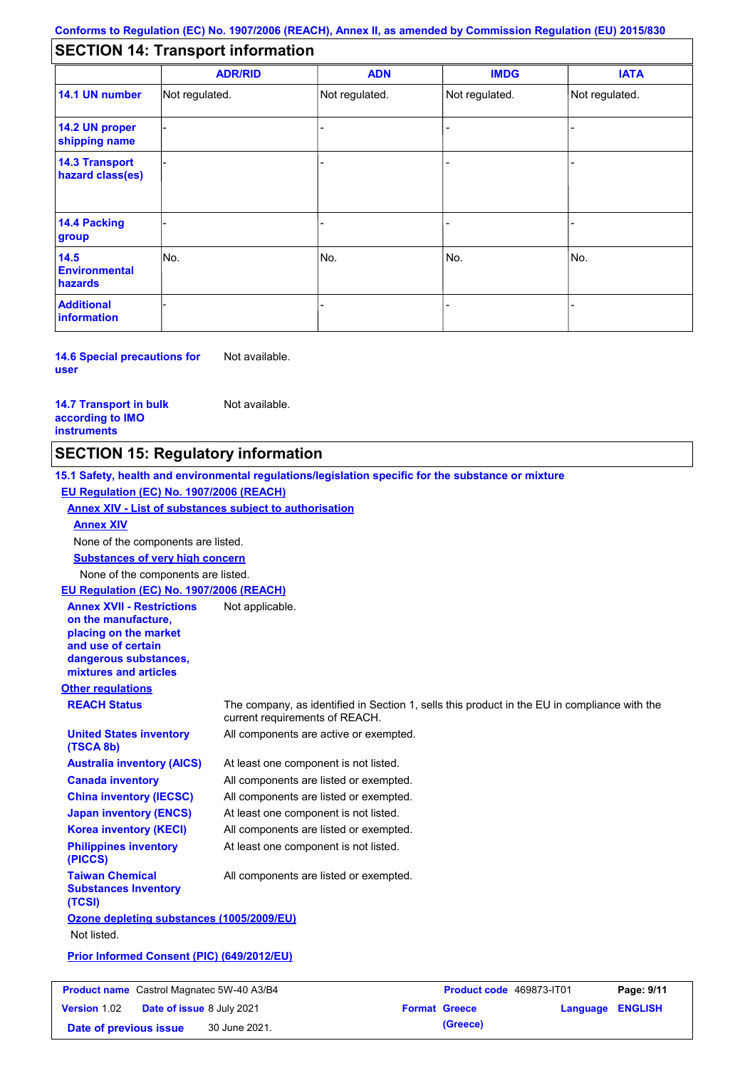## **SECTION 14: Transport information**

|                                           | <b>ADR/RID</b> | <b>ADN</b>     | <b>IMDG</b>    | <b>IATA</b>    |
|-------------------------------------------|----------------|----------------|----------------|----------------|
| 14.1 UN number                            | Not regulated. | Not regulated. | Not regulated. | Not regulated. |
| 14.2 UN proper<br>shipping name           |                |                |                |                |
| <b>14.3 Transport</b><br>hazard class(es) |                |                | ۰              |                |
| 14.4 Packing<br>group                     |                |                |                |                |
| 14.5<br><b>Environmental</b><br>hazards   | No.            | No.            | No.            | INo.           |
| <b>Additional</b><br>information          |                |                |                |                |

**14.6 Special precautions for user** Not available.

**14.7 Transport in bulk according to IMO instruments**

Not available.

## **SECTION 15: Regulatory information**

**Other regulations REACH Status** The company, as identified in Section 1, sells this product in the EU in compliance with the current requirements of REACH. **15.1 Safety, health and environmental regulations/legislation specific for the substance or mixture EU Regulation (EC) No. 1907/2006 (REACH) Annex XIV - List of substances subject to authorisation Substances of very high concern** None of the components are listed. At least one component is not listed. All components are listed or exempted. All components are listed or exempted. At least one component is not listed. All components are active or exempted. All components are listed or exempted. At least one component is not listed. **United States inventory (TSCA 8b) Australia inventory (AICS) Canada inventory China inventory (IECSC) Japan inventory (ENCS) Korea inventory (KECI) Philippines inventory (PICCS) Taiwan Chemical Substances Inventory (TCSI)** All components are listed or exempted. **Ozone depleting substances (1005/2009/EU)** Not listed. **Prior Informed Consent (PIC) (649/2012/EU)** None of the components are listed. **Annex XIV EU Regulation (EC) No. 1907/2006 (REACH) Annex XVII - Restrictions on the manufacture, placing on the market and use of certain dangerous substances, mixtures and articles** Not applicable.

|                        |                                  | <b>Product name</b> Castrol Magnatec 5W-40 A3/B4 | Product code 469873-IT01 |                         | Page: 9/11 |
|------------------------|----------------------------------|--------------------------------------------------|--------------------------|-------------------------|------------|
| <b>Version 1.02</b>    | <b>Date of issue 8 July 2021</b> |                                                  | <b>Format Greece</b>     | <b>Language ENGLISH</b> |            |
| Date of previous issue |                                  | 30 June 2021.                                    | (Greece)                 |                         |            |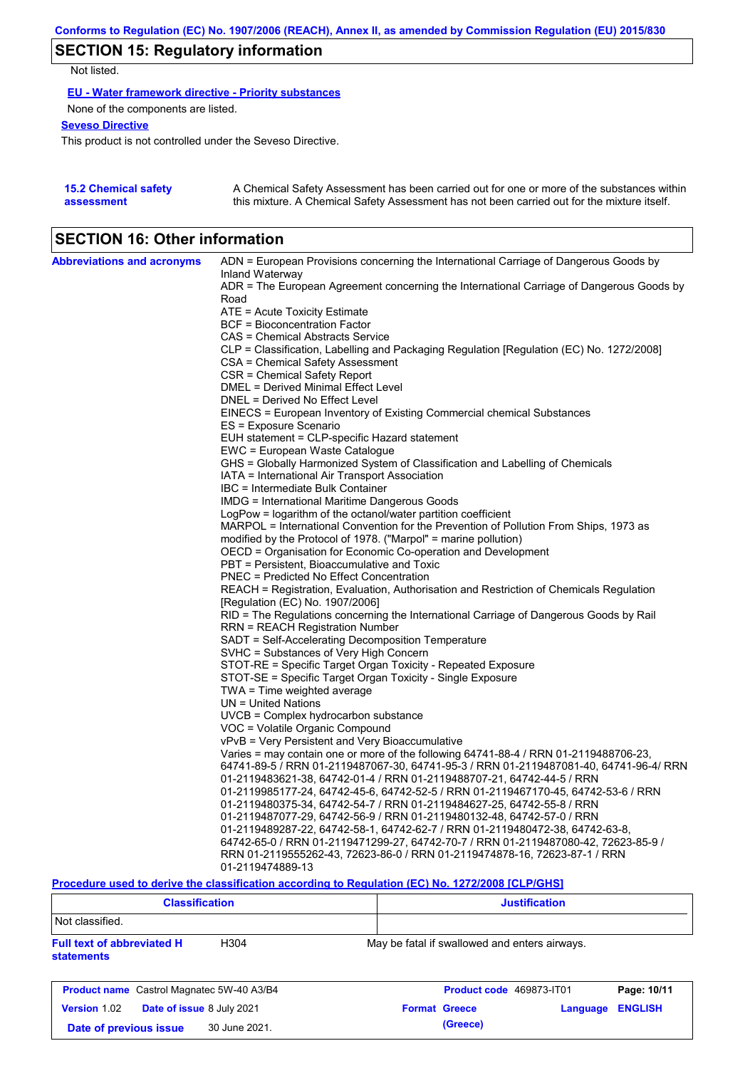# **SECTION 15: Regulatory information**

Not listed.

**EU - Water framework directive - Priority substances**

None of the components are listed.

### **Seveso Directive**

This product is not controlled under the Seveso Directive.

| <b>15.2 Chemical safety</b> | A Chemical Safety Assessment has been carried out for one or more of the substances within  |
|-----------------------------|---------------------------------------------------------------------------------------------|
| assessment                  | this mixture. A Chemical Safety Assessment has not been carried out for the mixture itself. |

## **SECTION 16: Other information**

| <b>Abbreviations and acronyms</b> | ADN = European Provisions concerning the International Carriage of Dangerous Goods by                           |  |  |
|-----------------------------------|-----------------------------------------------------------------------------------------------------------------|--|--|
|                                   | Inland Waterway<br>ADR = The European Agreement concerning the International Carriage of Dangerous Goods by     |  |  |
|                                   | Road                                                                                                            |  |  |
|                                   | $ATE = Acute Toxicity Estimate$                                                                                 |  |  |
|                                   | BCF = Bioconcentration Factor                                                                                   |  |  |
|                                   | CAS = Chemical Abstracts Service                                                                                |  |  |
|                                   | CLP = Classification, Labelling and Packaging Regulation [Regulation (EC) No. 1272/2008]                        |  |  |
|                                   | CSA = Chemical Safety Assessment                                                                                |  |  |
|                                   | CSR = Chemical Safety Report                                                                                    |  |  |
|                                   | DMEL = Derived Minimal Effect Level                                                                             |  |  |
|                                   | DNEL = Derived No Effect Level                                                                                  |  |  |
|                                   | EINECS = European Inventory of Existing Commercial chemical Substances                                          |  |  |
|                                   | ES = Exposure Scenario                                                                                          |  |  |
|                                   | EUH statement = CLP-specific Hazard statement                                                                   |  |  |
|                                   | EWC = European Waste Catalogue<br>GHS = Globally Harmonized System of Classification and Labelling of Chemicals |  |  |
|                                   | IATA = International Air Transport Association                                                                  |  |  |
|                                   | IBC = Intermediate Bulk Container                                                                               |  |  |
|                                   | IMDG = International Maritime Dangerous Goods                                                                   |  |  |
|                                   | LogPow = logarithm of the octanol/water partition coefficient                                                   |  |  |
|                                   | MARPOL = International Convention for the Prevention of Pollution From Ships, 1973 as                           |  |  |
|                                   | modified by the Protocol of 1978. ("Marpol" = marine pollution)                                                 |  |  |
|                                   | OECD = Organisation for Economic Co-operation and Development                                                   |  |  |
|                                   | PBT = Persistent, Bioaccumulative and Toxic                                                                     |  |  |
|                                   | PNEC = Predicted No Effect Concentration                                                                        |  |  |
|                                   | REACH = Registration, Evaluation, Authorisation and Restriction of Chemicals Regulation                         |  |  |
|                                   | [Regulation (EC) No. 1907/2006]                                                                                 |  |  |
|                                   | RID = The Regulations concerning the International Carriage of Dangerous Goods by Rail                          |  |  |
|                                   | <b>RRN = REACH Registration Number</b>                                                                          |  |  |
|                                   | SADT = Self-Accelerating Decomposition Temperature                                                              |  |  |
|                                   | SVHC = Substances of Very High Concern<br>STOT-RE = Specific Target Organ Toxicity - Repeated Exposure          |  |  |
|                                   | STOT-SE = Specific Target Organ Toxicity - Single Exposure                                                      |  |  |
|                                   | TWA = Time weighted average                                                                                     |  |  |
|                                   | $UN = United Nations$                                                                                           |  |  |
|                                   | UVCB = Complex hydrocarbon substance                                                                            |  |  |
|                                   | VOC = Volatile Organic Compound                                                                                 |  |  |
|                                   | vPvB = Very Persistent and Very Bioaccumulative                                                                 |  |  |
|                                   | Varies = may contain one or more of the following 64741-88-4 / RRN 01-2119488706-23,                            |  |  |
|                                   | 64741-89-5 / RRN 01-2119487067-30, 64741-95-3 / RRN 01-2119487081-40, 64741-96-4/ RRN                           |  |  |
|                                   | 01-2119483621-38, 64742-01-4 / RRN 01-2119488707-21, 64742-44-5 / RRN                                           |  |  |
|                                   | 01-2119985177-24, 64742-45-6, 64742-52-5 / RRN 01-2119467170-45, 64742-53-6 / RRN                               |  |  |
|                                   | 01-2119480375-34, 64742-54-7 / RRN 01-2119484627-25, 64742-55-8 / RRN                                           |  |  |
|                                   | 01-2119487077-29, 64742-56-9 / RRN 01-2119480132-48, 64742-57-0 / RRN                                           |  |  |
|                                   | 01-2119489287-22, 64742-58-1, 64742-62-7 / RRN 01-2119480472-38, 64742-63-8,                                    |  |  |
|                                   | 64742-65-0 / RRN 01-2119471299-27, 64742-70-7 / RRN 01-2119487080-42, 72623-85-9 /                              |  |  |
|                                   | RRN 01-2119555262-43, 72623-86-0 / RRN 01-2119474878-16, 72623-87-1 / RRN                                       |  |  |
|                                   | 01-2119474889-13                                                                                                |  |  |

**Procedure used to derive the classification according to Regulation (EC) No. 1272/2008 [CLP/GHS]**

| <b>Classification</b>                                                      | <b>Justification</b>                               |
|----------------------------------------------------------------------------|----------------------------------------------------|
| Not classified.                                                            |                                                    |
| <b>Full text of abbreviated H</b><br>H <sub>304</sub><br><b>statements</b> | May be fatal if swallowed and enters airways.      |
| <b>Product name</b> Castrol Magnatec 5W-40 A3/B4                           | Product code 469873-IT01<br>Page: 10/11            |
| <b>Version 1.02</b><br>Date of issue 8 July 2021                           | <b>ENGLISH</b><br><b>Format Greece</b><br>Language |
| 30 June 2021.<br>Date of previous issue                                    | (Greece)                                           |